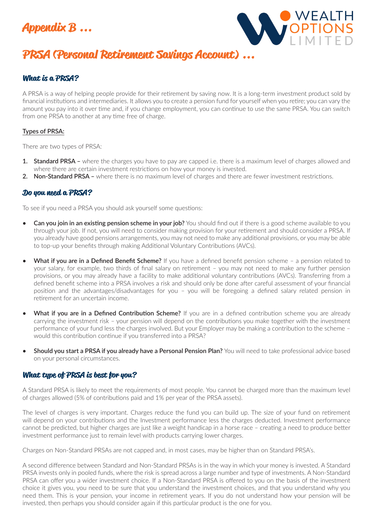



# **PRSA (Personal Retirement Savings Account) ...**

## **What is a PRSA?**

A PRSA is a way of helping people provide for their retirement by saving now. It is a long-term investment product sold by financial institutions and intermediaries. It allows you to create a pension fund for yourself when you retire; you can vary the amount you pay into it over time and, if you change employment, you can continue to use the same PRSA. You can switch from one PRSA to another at any time free of charge.

#### **Types of PRSA:**

There are two types of PRSA:

- **1. Standard PRSA** where the charges you have to pay are capped i.e. there is a maximum level of charges allowed and where there are certain investment restrictions on how your money is invested.
- **2. Non-Standard PRSA** where there is no maximum level of charges and there are fewer investment restrictions.

#### **Do you need a PRSA?**

To see if you need a PRSA you should ask yourself some questions:

- **• Can you join in an existing pension scheme in your job?** You should find out if there is a good scheme available to you through your job. If not, you will need to consider making provision for your retirement and should consider a PRSA. If you already have good pensions arrangements, you may not need to make any additional provisions, or you may be able to top-up your benefits through making Additional Voluntary Contributions (AVCs).
- **• What if you are in a Defined Benefit Scheme?** If you have a defined benefit pension scheme a pension related to your salary, for example, two thirds of final salary on retirement – you may not need to make any further pension provisions, or you may already have a facility to make additional voluntary contributions (AVCs). Transferring from a defined benefit scheme into a PRSA involves a risk and should only be done after careful assessment of your financial position and the advantages/disadvantages for you – you will be foregoing a defined salary related pension in retirement for an uncertain income.
- **• What if you are in a Defined Contribution Scheme?** If you are in a defined contribution scheme you are already carrying the investment risk – your pension will depend on the contributions you make together with the investment performance of your fund less the charges involved. But your Employer may be making a contribution to the scheme – would this contribution continue if you transferred into a PRSA?
- **• Should you start a PRSA if you already have a Personal Pension Plan?** You will need to take professional advice based on your personal circumstances.

#### **What type of PRSA is best for you?**

A Standard PRSA is likely to meet the requirements of most people. You cannot be charged more than the maximum level of charges allowed (5% of contributions paid and 1% per year of the PRSA assets).

The level of charges is very important. Charges reduce the fund you can build up. The size of your fund on retirement will depend on your contributions and the Investment performance less the charges deducted. Investment performance cannot be predicted, but higher charges are just like a weight handicap in a horse race – creating a need to produce better investment performance just to remain level with products carrying lower charges.

Charges on Non-Standard PRSAs are not capped and, in most cases, may be higher than on Standard PRSA's.

A second difference between Standard and Non-Standard PRSAs is in the way in which your money is invested. A Standard PRSA invests only in pooled funds, where the risk is spread across a large number and type of investments. A Non-Standard PRSA can offer you a wider investment choice. If a Non-Standard PRSA is offered to you on the basis of the investment choice it gives you, you need to be sure that you understand the investment choices, and that you understand why you need them. This is your pension, your income in retirement years. If you do not understand how your pension will be invested, then perhaps you should consider again if this particular product is the one for you.